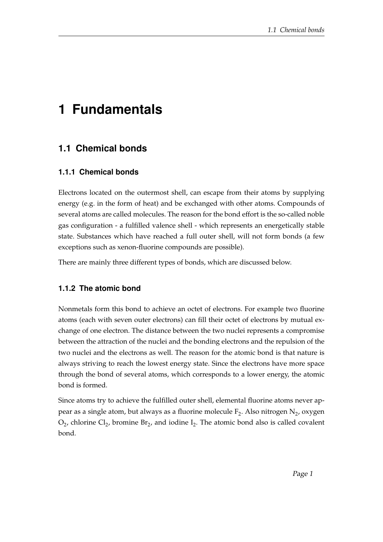# **1 Fundamentals**

# **1.1 Chemical bonds**

#### **1.1.1 Chemical bonds**

Electrons located on the outermost shell, can escape from their atoms by supplying energy (e.g. in the form of heat) and be exchanged with other atoms. Compounds of several atoms are called molecules. The reason for the bond effort is the so-called noble gas configuration - a fulfilled valence shell - which represents an energetically stable state. Substances which have reached a full outer shell, will not form bonds (a few exceptions such as xenon-fluorine compounds are possible).

There are mainly three different types of bonds, which are discussed below.

## **1.1.2 The atomic bond**

Nonmetals form this bond to achieve an octet of electrons. For example two fluorine atoms (each with seven outer electrons) can fill their octet of electrons by mutual exchange of one electron. The distance between the two nuclei represents a compromise between the attraction of the nuclei and the bonding electrons and the repulsion of the two nuclei and the electrons as well. The reason for the atomic bond is that nature is always striving to reach the lowest energy state. Since the electrons have more space through the bond of several atoms, which corresponds to a lower energy, the atomic bond is formed.

Since atoms try to achieve the fulfilled outer shell, elemental fluorine atoms never appear as a single atom, but always as a fluorine molecule  $\text{F}_{2}$ . Also nitrogen  $\text{N}_{2}$ , oxygen  $O_2$ , chlorine  $Cl_2$ , bromine  $Br_2$ , and iodine  $I_2$ . The atomic bond also is called covalent bond.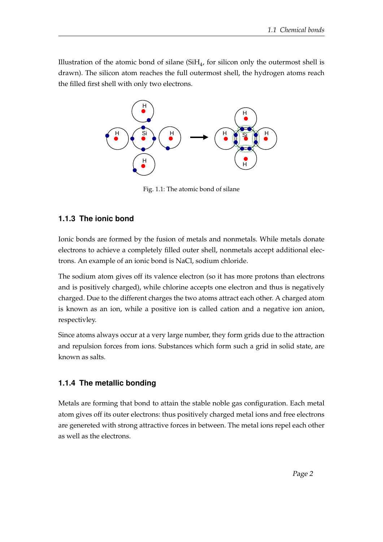Illustration of the atomic bond of silane  $(SiH_4)$ , for silicon only the outermost shell is drawn). The silicon atom reaches the full outermost shell, the hydrogen atoms reach the filled first shell with only two electrons.



Fig. 1.1: The atomic bond of silane

#### **1.1.3 The ionic bond**

Ionic bonds are formed by the fusion of metals and nonmetals. While metals donate electrons to achieve a completely filled outer shell, nonmetals accept additional electrons. An example of an ionic bond is NaCl, sodium chloride.

The sodium atom gives off its valence electron (so it has more protons than electrons and is positively charged), while chlorine accepts one electron and thus is negatively charged. Due to the different charges the two atoms attract each other. A charged atom is known as an ion, while a positive ion is called cation and a negative ion anion, respectivley.

Since atoms always occur at a very large number, they form grids due to the attraction and repulsion forces from ions. Substances which form such a grid in solid state, are known as salts.

## **1.1.4 The metallic bonding**

Metals are forming that bond to attain the stable noble gas configuration. Each metal atom gives off its outer electrons: thus positively charged metal ions and free electrons are genereted with strong attractive forces in between. The metal ions repel each other as well as the electrons.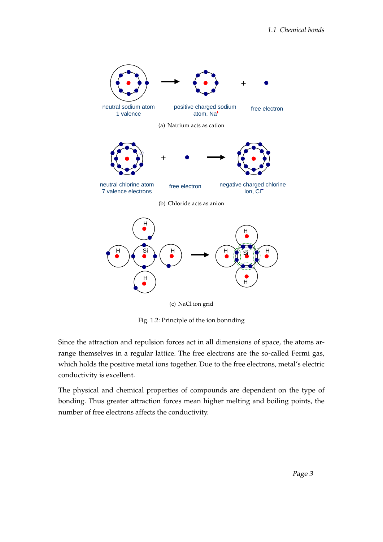

Fig. 1.2: Principle of the ion bonnding

Since the attraction and repulsion forces act in all dimensions of space, the atoms arrange themselves in a regular lattice. The free electrons are the so-called Fermi gas, which holds the positive metal ions together. Due to the free electrons, metal's electric conductivity is excellent.

The physical and chemical properties of compounds are dependent on the type of bonding. Thus greater attraction forces mean higher melting and boiling points, the number of free electrons affects the conductivity.